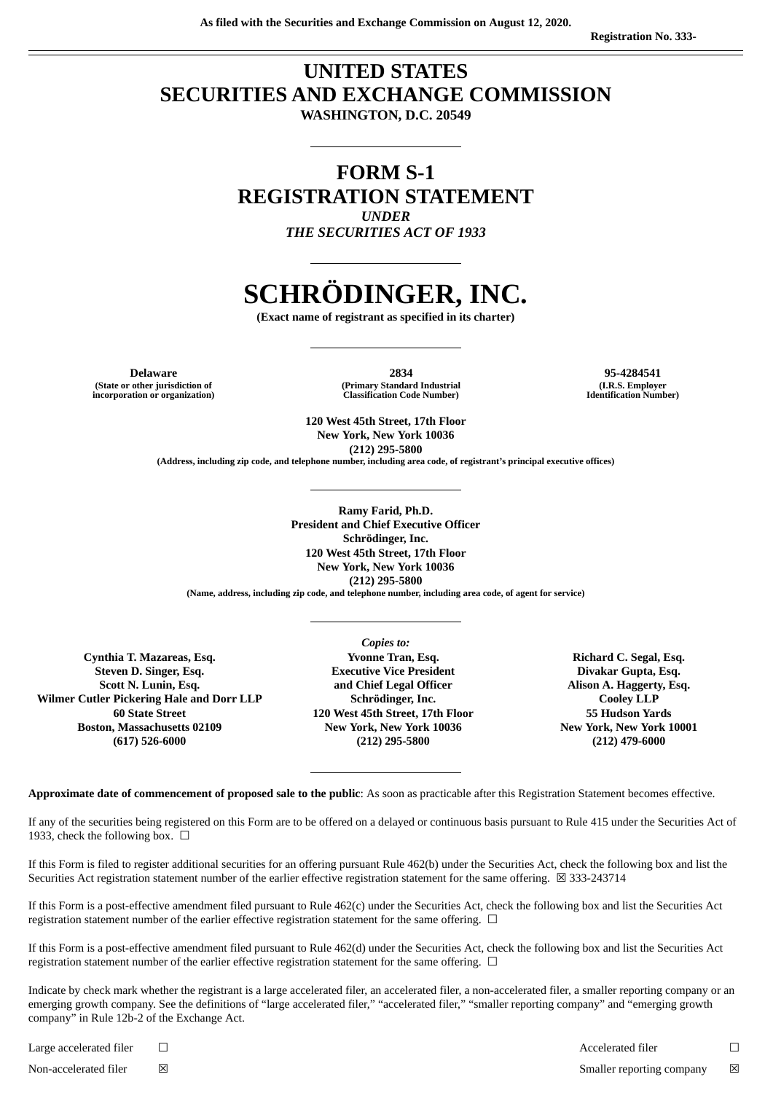# **UNITED STATES SECURITIES AND EXCHANGE COMMISSION WASHINGTON, D.C. 20549**

# **FORM S-1 REGISTRATION STATEMENT** *UNDER*

*THE SECURITIES ACT OF 1933*

# **SCHRÖDINGER, INC.**

**(Exact name of registrant as specified in its charter)**

**(State or other jurisdiction of incorporation or organization)**

**Delaware 2834 95-4284541 (Primary Standard Industrial Classification Code Number)**

**(I.R.S. Employer Identification Number)**

**120 West 45th Street, 17th Floor New York, New York 10036 (212) 295-5800**

**(Address, including zip code, and telephone number, including area code, of registrant's principal executive offices)**

**Ramy Farid, Ph.D. President and Chief Executive Officer Schrödinger, Inc. 120 West 45th Street, 17th Floor New York, New York 10036 (212) 295-5800**

**(Name, address, including zip code, and telephone number, including area code, of agent for service)**

**Cynthia T. Mazareas, Esq. Steven D. Singer, Esq. Scott N. Lunin, Esq. Wilmer Cutler Pickering Hale and Dorr LLP 60 State Street Boston, Massachusetts 02109 (617) 526-6000**

*Copies to:* **Yvonne Tran, Esq. Executive Vice President and Chief Legal Officer Schrödinger, Inc. 120 West 45th Street, 17th Floor New York, New York 10036 (212) 295-5800**

**Richard C. Segal, Esq. Divakar Gupta, Esq. Alison A. Haggerty, Esq. Cooley LLP 55 Hudson Yards New York, New York 10001 (212) 479-6000**

**Approximate date of commencement of proposed sale to the public**: As soon as practicable after this Registration Statement becomes effective.

If any of the securities being registered on this Form are to be offered on a delayed or continuous basis pursuant to Rule 415 under the Securities Act of 1933, check the following box.  $\Box$ 

If this Form is filed to register additional securities for an offering pursuant Rule 462(b) under the Securities Act, check the following box and list the Securities Act registration statement number of the earlier effective registration statement for the same offering. ⊠ 333-243714

If this Form is a post-effective amendment filed pursuant to Rule 462(c) under the Securities Act, check the following box and list the Securities Act registration statement number of the earlier effective registration statement for the same offering.  $\Box$ 

If this Form is a post-effective amendment filed pursuant to Rule 462(d) under the Securities Act, check the following box and list the Securities Act registration statement number of the earlier effective registration statement for the same offering.  $\Box$ 

Indicate by check mark whether the registrant is a large accelerated filer, an accelerated filer, a non-accelerated filer, a smaller reporting company or an emerging growth company. See the definitions of "large accelerated filer," "accelerated filer," "smaller reporting company" and "emerging growth company" in Rule 12b-2 of the Exchange Act.

Large accelerated filer ☐ Accelerated filer ☐ Non-accelerated filer ☒ Smaller reporting company ☒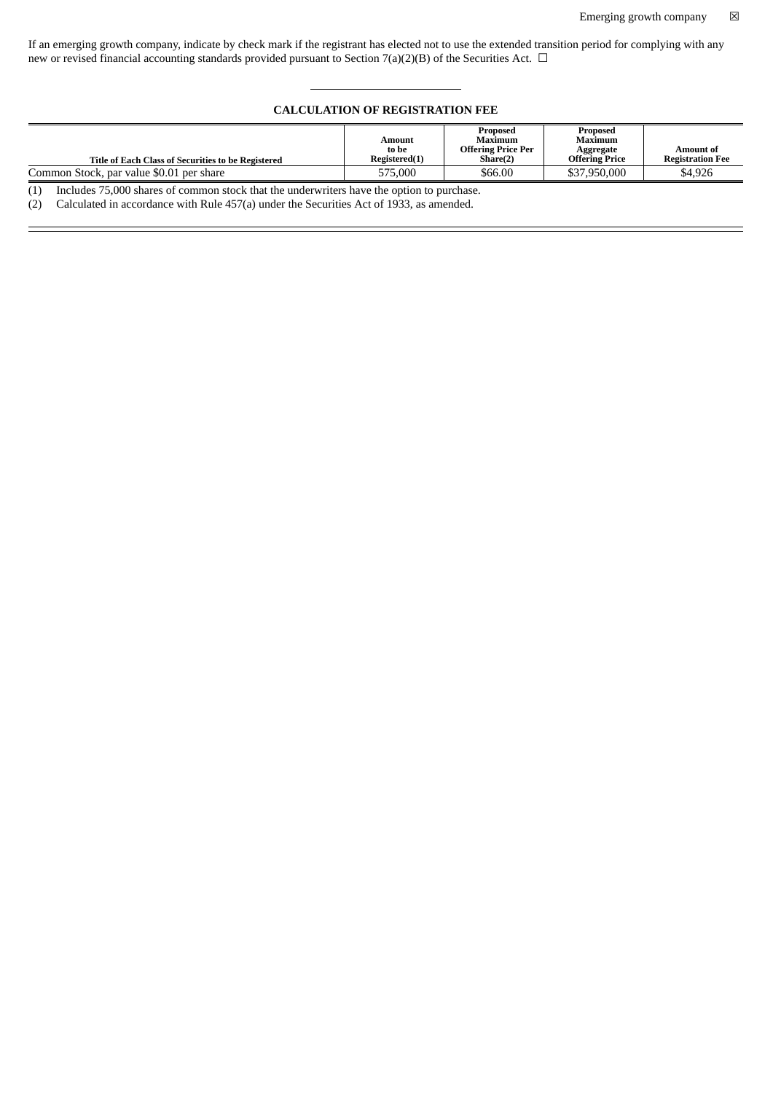If an emerging growth company, indicate by check mark if the registrant has elected not to use the extended transition period for complying with any new or revised financial accounting standards provided pursuant to Section 7(a)(2)(B) of the Securities Act.  $\Box$ 

#### **CALCULATION OF REGISTRATION FEE**

|                                                    |                 | Proposed                             | Proposed              |                         |
|----------------------------------------------------|-----------------|--------------------------------------|-----------------------|-------------------------|
|                                                    | Amount<br>to be | Maximum<br><b>Offering Price Per</b> | Maximum<br>Aggregate  | Amount of               |
| Title of Each Class of Securities to be Registered | Registered(1)   | Share(2)                             | <b>Offering Price</b> | <b>Registration Fee</b> |
| Common Stock, par value \$0.01 per share           | 575,000         | \$66.00                              | \$37,950,000          | \$4,926                 |

(1) Includes 75,000 shares of common stock that the underwriters have the option to purchase.

(2) Calculated in accordance with Rule 457(a) under the Securities Act of 1933, as amended.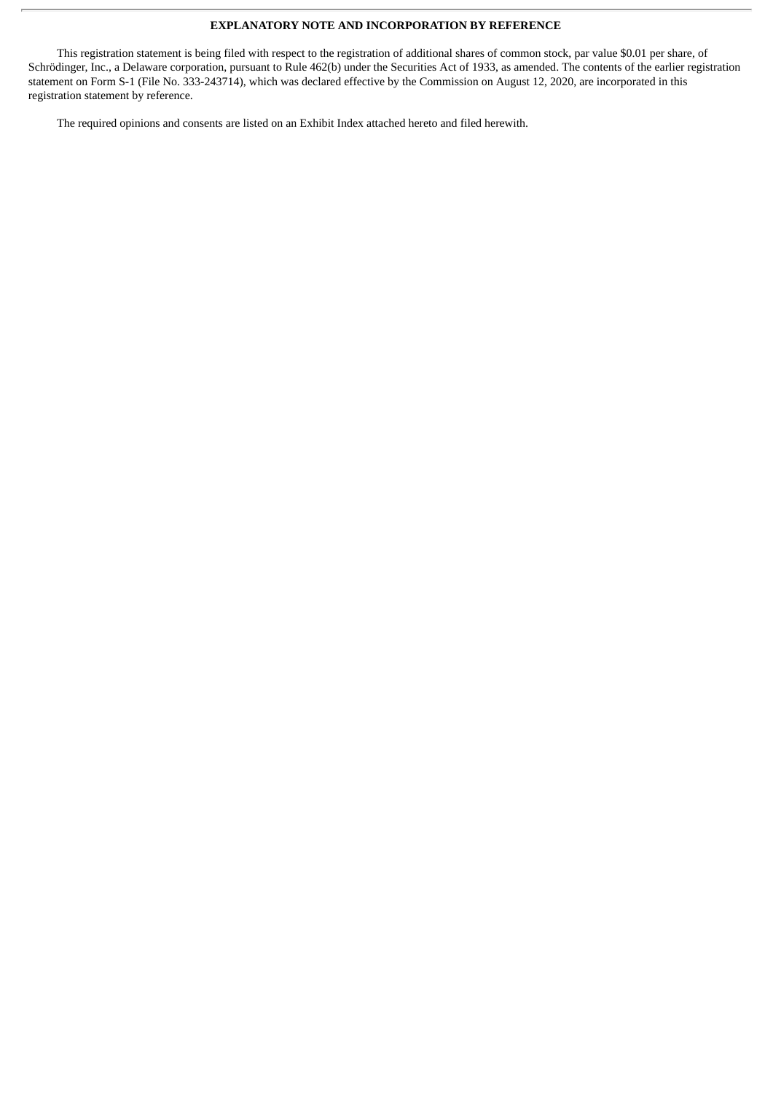#### **EXPLANATORY NOTE AND INCORPORATION BY REFERENCE**

This registration statement is being filed with respect to the registration of additional shares of common stock, par value \$0.01 per share, of Schrödinger, Inc., a Delaware corporation, pursuant to Rule 462(b) under the Securities Act of 1933, as amended. The contents of the earlier registration statement on Form S-1 (File No. 333-243714), which was declared effective by the Commission on August 12, 2020, are incorporated in this registration statement by reference.

The required opinions and consents are listed on an Exhibit Index attached hereto and filed herewith.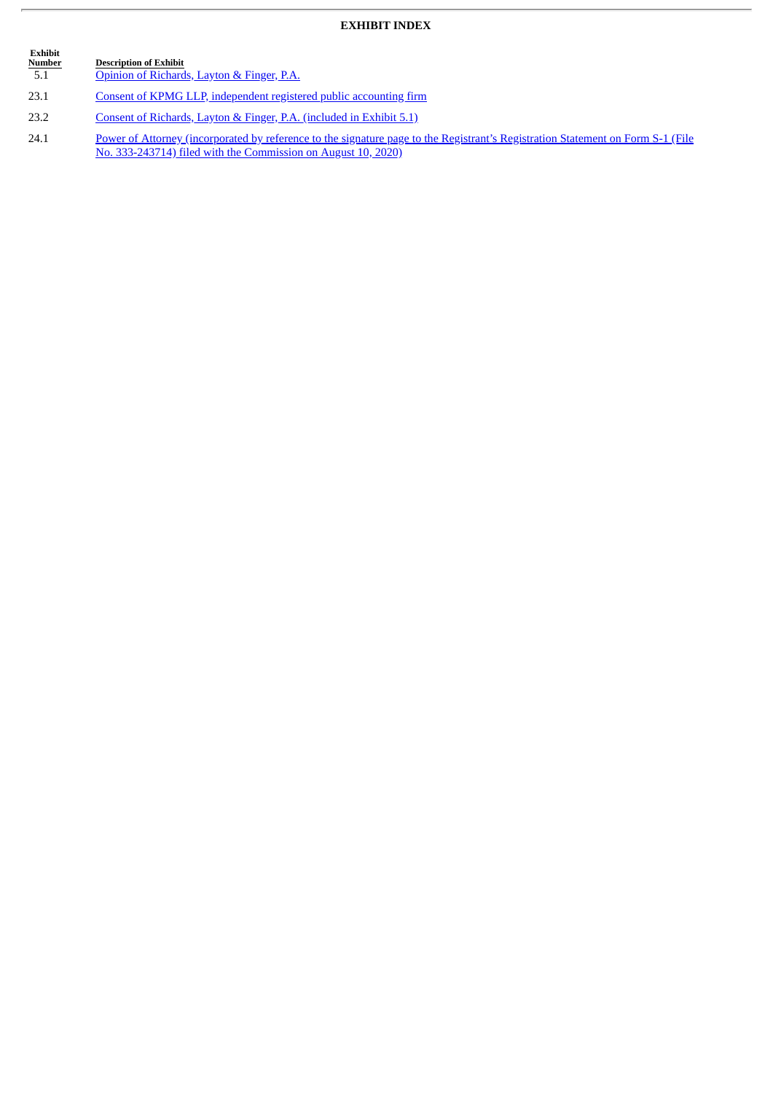## **EXHIBIT INDEX**

| <b>Exhibit</b><br><b>Number</b><br>5.1 | <b>Description of Exhibit</b><br>Opinion of Richards, Layton & Finger, P.A.          |
|----------------------------------------|--------------------------------------------------------------------------------------|
| 23.1                                   | Consent of KPMG LLP, independent registered public accounting firm                   |
| 23.2                                   | Consent of Richards, Layton & Finger, P.A. (included in Exhibit 5.1)                 |
| 741                                    | Day 110 of Attornoon Commonwealth by Information to the absolution who to the Davist |

24.1 Power of Attorney [\(incorporated](http://www.sec.gov/Archives/edgar/data/1490978/000119312520214928/d944446ds1.htm#ii944446_sig) by reference to the signature page to the Registrant's Registration Statement on Form S-1 (File No. 333-243714) filed with the Commission on August 10, 2020)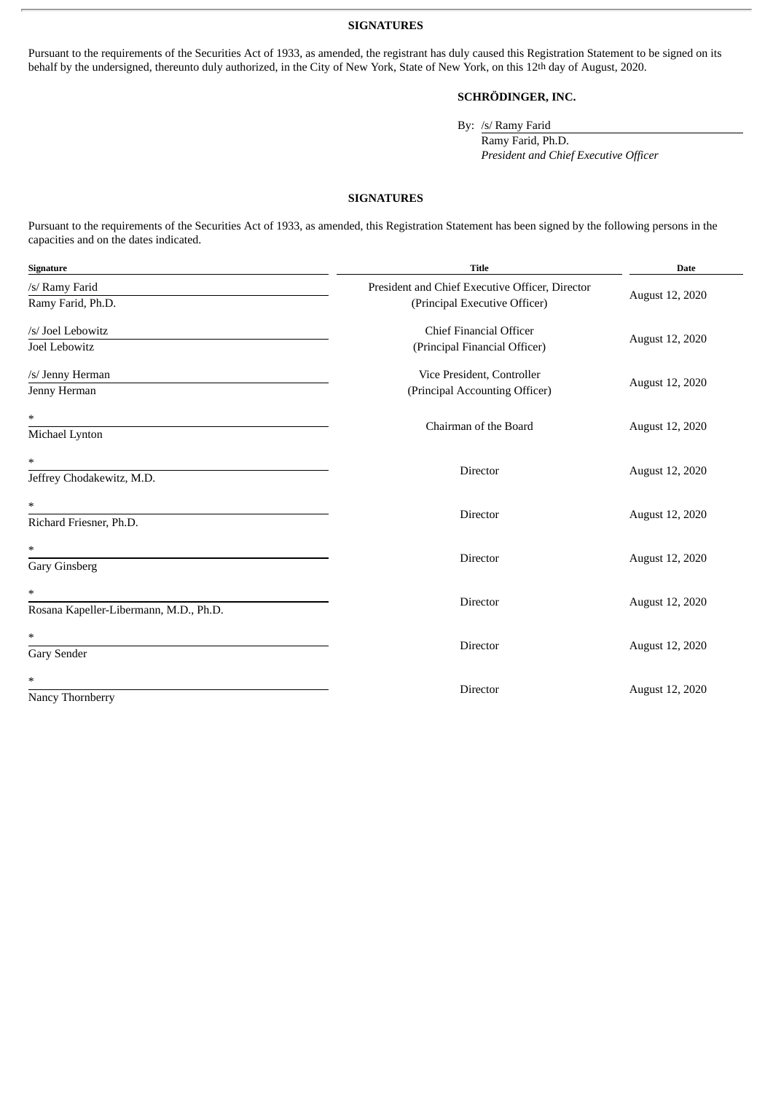**SIGNATURES**

Pursuant to the requirements of the Securities Act of 1933, as amended, the registrant has duly caused this Registration Statement to be signed on its behalf by the undersigned, thereunto duly authorized, in the City of New York, State of New York, on this 12<sup>th</sup> day of August, 2020.

### **SCHRÖDINGER, INC.**

By: /s/ Ramy Farid

Ramy Farid, Ph.D. *President and Chief Executive Officer*

#### **SIGNATURES**

Pursuant to the requirements of the Securities Act of 1933, as amended, this Registration Statement has been signed by the following persons in the capacities and on the dates indicated.

| Signature                                   | <b>Title</b>                                                                     | <b>Date</b>     |  |
|---------------------------------------------|----------------------------------------------------------------------------------|-----------------|--|
| /s/ Ramy Farid<br>Ramy Farid, Ph.D.         | President and Chief Executive Officer, Director<br>(Principal Executive Officer) | August 12, 2020 |  |
| /s/ Joel Lebowitz<br>Joel Lebowitz          | <b>Chief Financial Officer</b><br>(Principal Financial Officer)                  | August 12, 2020 |  |
| /s/ Jenny Herman<br>Jenny Herman            | Vice President, Controller<br>(Principal Accounting Officer)                     | August 12, 2020 |  |
| *<br>Michael Lynton                         | Chairman of the Board                                                            | August 12, 2020 |  |
| $\ast$<br>Jeffrey Chodakewitz, M.D.         | Director                                                                         | August 12, 2020 |  |
| $\ast$<br>Richard Friesner, Ph.D.           | Director                                                                         | August 12, 2020 |  |
| *<br><b>Gary Ginsberg</b>                   | Director                                                                         | August 12, 2020 |  |
| *<br>Rosana Kapeller-Libermann, M.D., Ph.D. | Director                                                                         | August 12, 2020 |  |
| *<br><b>Gary Sender</b>                     | Director                                                                         | August 12, 2020 |  |
| *<br>Nancy Thornberry                       | Director                                                                         | August 12, 2020 |  |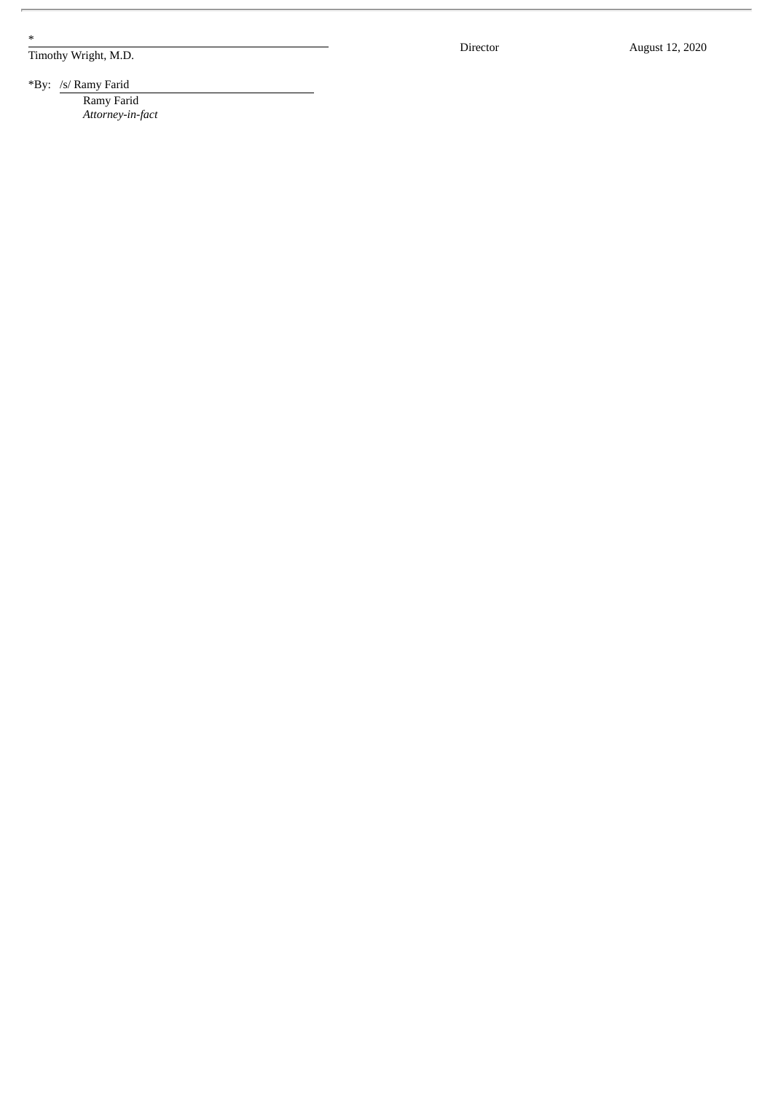\*

Timothy Wright, M.D.

Director

August 12, 2020

\*By: /s/ Ramy Farid Ramy Farid

*Attorney-in-fa c t*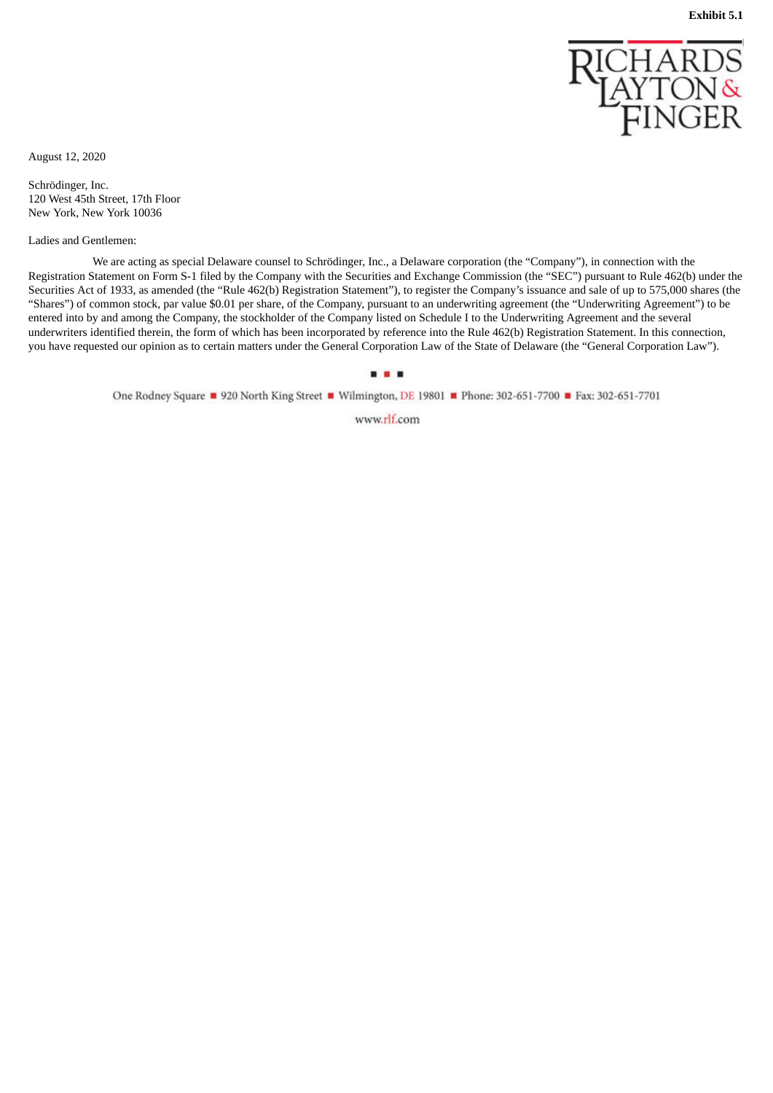

<span id="page-6-0"></span>August 12, 2020

Schrödinger, Inc. 120 West 45th Street, 17th Floor New York, New York 10036

Ladies and Gentlemen:

We are acting as special Delaware counsel to Schrödinger, Inc., a Delaware corporation (the "Company"), in connection with the Registration Statement on Form S-1 filed by the Company with the Securities and Exchange Commission (the "SEC") pursuant to Rule 462(b) under the Securities Act of 1933, as amended (the "Rule 462(b) Registration Statement"), to register the Company's issuance and sale of up to 575,000 shares (the "Shares") of common stock, par value \$0.01 per share, of the Company, pursuant to an underwriting agreement (the "Underwriting Agreement") to be entered into by and among the Company, the stockholder of the Company listed on Schedule I to the Underwriting Agreement and the several underwriters identified therein, the form of which has been incorporated by reference into the Rule 462(b) Registration Statement. In this connection, you have requested our opinion as to certain matters under the General Corporation Law of the State of Delaware (the "General Corporation Law").

...

One Rodney Square 920 North King Street Wilmington, DE 19801 Phone: 302-651-7700 Pax: 302-651-7701

www.rlf.com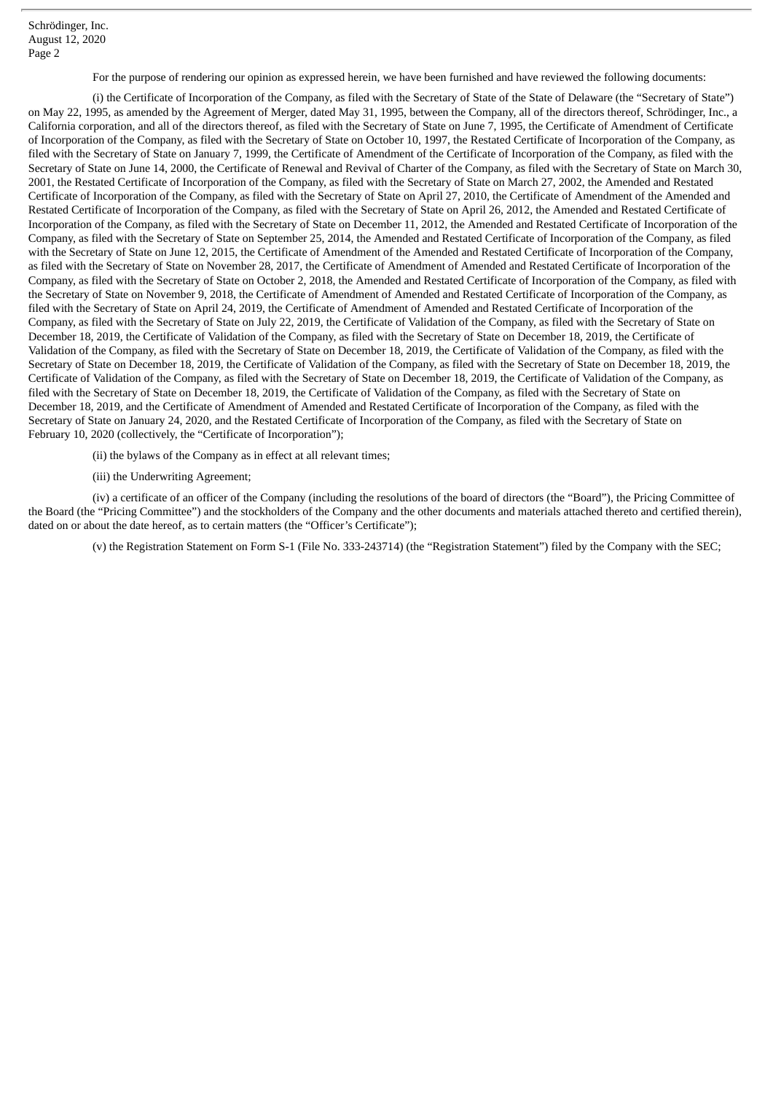Schrödinger, Inc. August 12, 2020 Page 2

For the purpose of rendering our opinion as expressed herein, we have been furnished and have reviewed the following documents:

(i) the Certificate of Incorporation of the Company, as filed with the Secretary of State of the State of Delaware (the "Secretary of State") on May 22, 1995, as amended by the Agreement of Merger, dated May 31, 1995, between the Company, all of the directors thereof, Schrödinger, Inc., a California corporation, and all of the directors thereof, as filed with the Secretary of State on June 7, 1995, the Certificate of Amendment of Certificate of Incorporation of the Company, as filed with the Secretary of State on October 10, 1997, the Restated Certificate of Incorporation of the Company, as filed with the Secretary of State on January 7, 1999, the Certificate of Amendment of the Certificate of Incorporation of the Company, as filed with the Secretary of State on June 14, 2000, the Certificate of Renewal and Revival of Charter of the Company, as filed with the Secretary of State on March 30, 2001, the Restated Certificate of Incorporation of the Company, as filed with the Secretary of State on March 27, 2002, the Amended and Restated Certificate of Incorporation of the Company, as filed with the Secretary of State on April 27, 2010, the Certificate of Amendment of the Amended and Restated Certificate of Incorporation of the Company, as filed with the Secretary of State on April 26, 2012, the Amended and Restated Certificate of Incorporation of the Company, as filed with the Secretary of State on December 11, 2012, the Amended and Restated Certificate of Incorporation of the Company, as filed with the Secretary of State on September 25, 2014, the Amended and Restated Certificate of Incorporation of the Company, as filed with the Secretary of State on June 12, 2015, the Certificate of Amendment of the Amended and Restated Certificate of Incorporation of the Company, as filed with the Secretary of State on November 28, 2017, the Certificate of Amendment of Amended and Restated Certificate of Incorporation of the Company, as filed with the Secretary of State on October 2, 2018, the Amended and Restated Certificate of Incorporation of the Company, as filed with the Secretary of State on November 9, 2018, the Certificate of Amendment of Amended and Restated Certificate of Incorporation of the Company, as filed with the Secretary of State on April 24, 2019, the Certificate of Amendment of Amended and Restated Certificate of Incorporation of the Company, as filed with the Secretary of State on July 22, 2019, the Certificate of Validation of the Company, as filed with the Secretary of State on December 18, 2019, the Certificate of Validation of the Company, as filed with the Secretary of State on December 18, 2019, the Certificate of Validation of the Company, as filed with the Secretary of State on December 18, 2019, the Certificate of Validation of the Company, as filed with the Secretary of State on December 18, 2019, the Certificate of Validation of the Company, as filed with the Secretary of State on December 18, 2019, the Certificate of Validation of the Company, as filed with the Secretary of State on December 18, 2019, the Certificate of Validation of the Company, as filed with the Secretary of State on December 18, 2019, the Certificate of Validation of the Company, as filed with the Secretary of State on December 18, 2019, and the Certificate of Amendment of Amended and Restated Certificate of Incorporation of the Company, as filed with the Secretary of State on January 24, 2020, and the Restated Certificate of Incorporation of the Company, as filed with the Secretary of State on February 10, 2020 (collectively, the "Certificate of Incorporation");

(ii) the bylaws of the Company as in effect at all relevant times;

(iii) the Underwriting Agreement;

(iv) a certificate of an officer of the Company (including the resolutions of the board of directors (the "Board"), the Pricing Committee of the Board (the "Pricing Committee") and the stockholders of the Company and the other documents and materials attached thereto and certified therein), dated on or about the date hereof, as to certain matters (the "Officer's Certificate");

(v) the Registration Statement on Form S-1 (File No. 333-243714) (the "Registration Statement") filed by the Company with the SEC;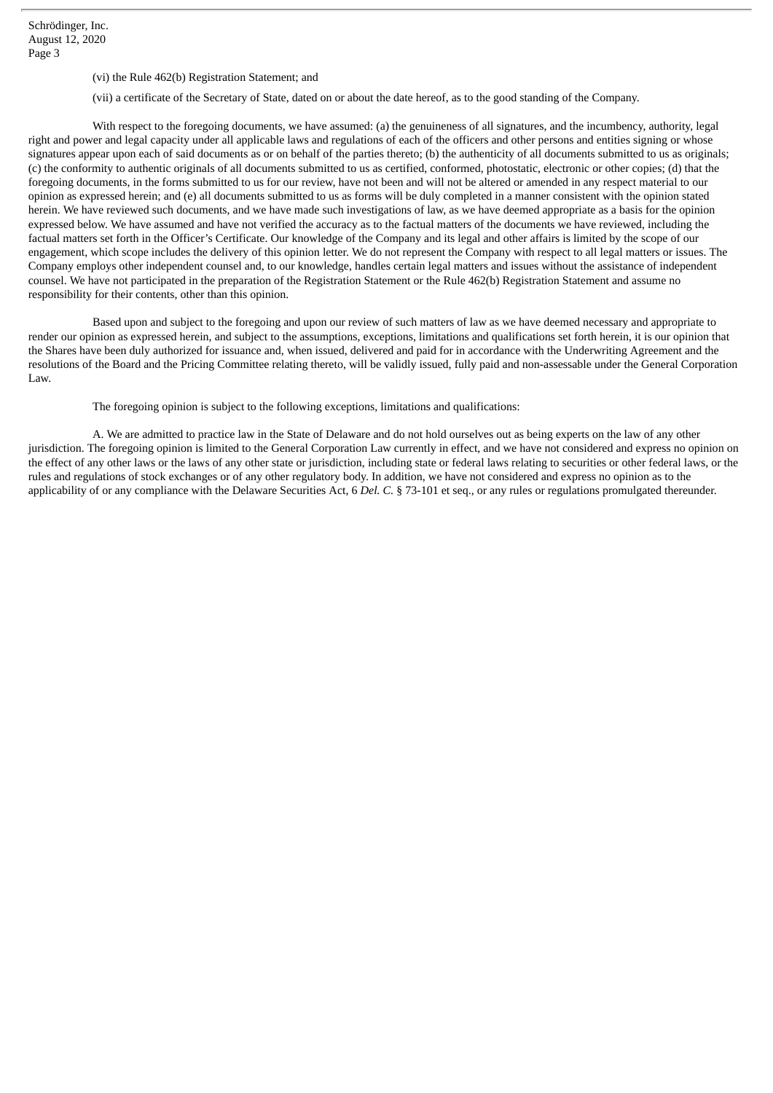Schrödinger, Inc. August 12, 2020 Page 3

- (vi) the Rule 462(b) Registration Statement; and
- (vii) a certificate of the Secretary of State, dated on or about the date hereof, as to the good standing of the Company.

With respect to the foregoing documents, we have assumed: (a) the genuineness of all signatures, and the incumbency, authority, legal right and power and legal capacity under all applicable laws and regulations of each of the officers and other persons and entities signing or whose signatures appear upon each of said documents as or on behalf of the parties thereto; (b) the authenticity of all documents submitted to us as originals; (c) the conformity to authentic originals of all documents submitted to us as certified, conformed, photostatic, electronic or other copies; (d) that the foregoing documents, in the forms submitted to us for our review, have not been and will not be altered or amended in any respect material to our opinion as expressed herein; and (e) all documents submitted to us as forms will be duly completed in a manner consistent with the opinion stated herein. We have reviewed such documents, and we have made such investigations of law, as we have deemed appropriate as a basis for the opinion expressed below. We have assumed and have not verified the accuracy as to the factual matters of the documents we have reviewed, including the factual matters set forth in the Officer's Certificate. Our knowledge of the Company and its legal and other affairs is limited by the scope of our engagement, which scope includes the delivery of this opinion letter. We do not represent the Company with respect to all legal matters or issues. The Company employs other independent counsel and, to our knowledge, handles certain legal matters and issues without the assistance of independent counsel. We have not participated in the preparation of the Registration Statement or the Rule 462(b) Registration Statement and assume no responsibility for their contents, other than this opinion.

Based upon and subject to the foregoing and upon our review of such matters of law as we have deemed necessary and appropriate to render our opinion as expressed herein, and subject to the assumptions, exceptions, limitations and qualifications set forth herein, it is our opinion that the Shares have been duly authorized for issuance and, when issued, delivered and paid for in accordance with the Underwriting Agreement and the resolutions of the Board and the Pricing Committee relating thereto, will be validly issued, fully paid and non-assessable under the General Corporation Law.

The foregoing opinion is subject to the following exceptions, limitations and qualifications:

A. We are admitted to practice law in the State of Delaware and do not hold ourselves out as being experts on the law of any other jurisdiction. The foregoing opinion is limited to the General Corporation Law currently in effect, and we have not considered and express no opinion on the effect of any other laws or the laws of any other state or jurisdiction, including state or federal laws relating to securities or other federal laws, or the rules and regulations of stock exchanges or of any other regulatory body. In addition, we have not considered and express no opinion as to the applicability of or any compliance with the Delaware Securities Act, 6 *Del. C.* § 73-101 et seq., or any rules or regulations promulgated thereunder.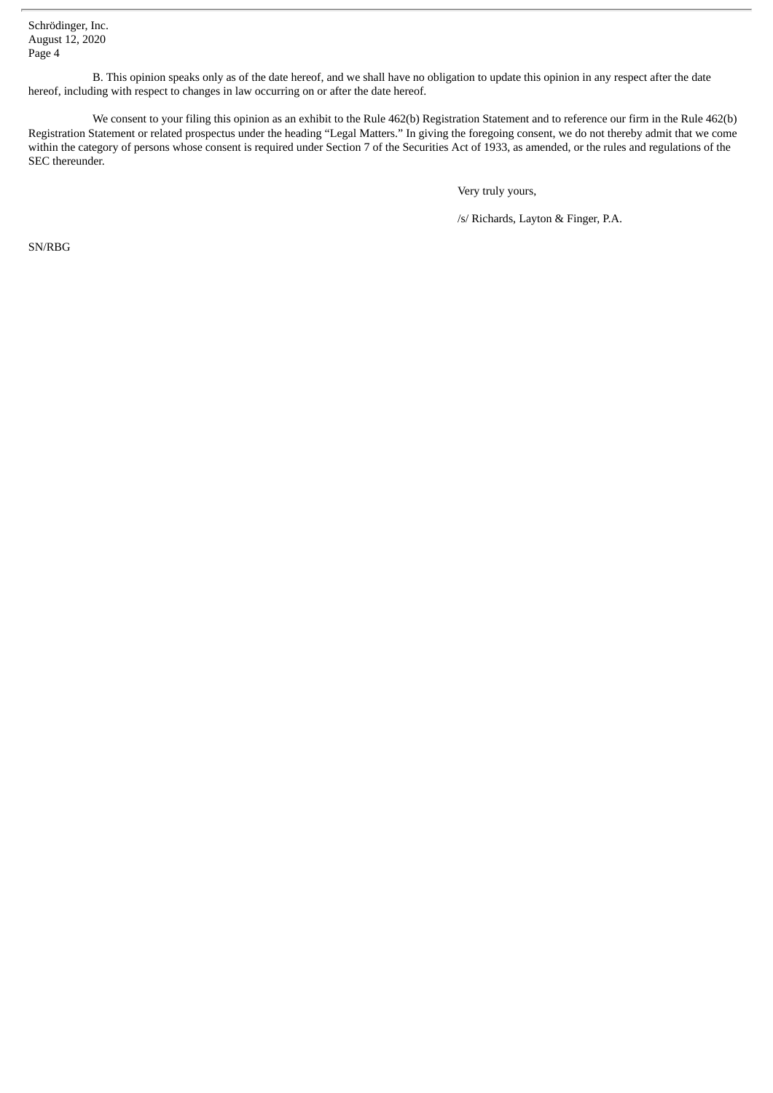Schrödinger, Inc. August 12, 2020 Page 4

B. This opinion speaks only as of the date hereof, and we shall have no obligation to update this opinion in any respect after the date hereof, including with respect to changes in law occurring on or after the date hereof.

We consent to your filing this opinion as an exhibit to the Rule 462(b) Registration Statement and to reference our firm in the Rule 462(b) Registration Statement or related prospectus under the heading "Legal Matters." In giving the foregoing consent, we do not thereby admit that we come within the category of persons whose consent is required under Section 7 of the Securities Act of 1933, as amended, or the rules and regulations of the SEC thereunder.

Very truly yours,

/s/ Richards, Layton & Finger, P.A.

SN/RBG